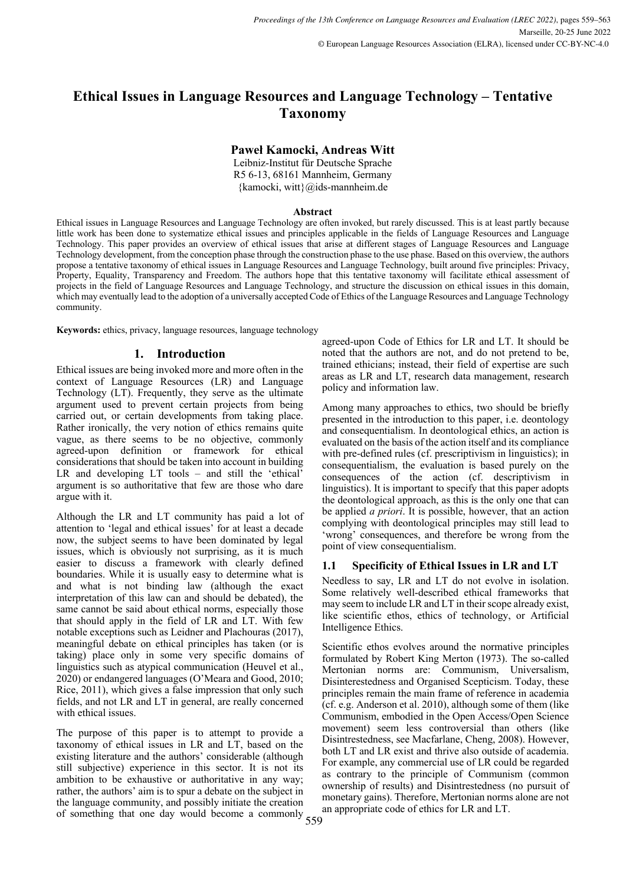# **Ethical Issues in Language Resources and Language Technology – Tentative Taxonomy**

## **Paweł Kamocki, Andreas Witt**

Leibniz-Institut für Deutsche Sprache R5 6-13, 68161 Mannheim, Germany {kamocki, witt}@ids-mannheim.de

#### **Abstract**

Ethical issues in Language Resources and Language Technology are often invoked, but rarely discussed. This is at least partly because little work has been done to systematize ethical issues and principles applicable in the fields of Language Resources and Language Technology. This paper provides an overview of ethical issues that arise at different stages of Language Resources and Language Technology development, from the conception phase through the construction phase to the use phase. Based on this overview, the authors propose a tentative taxonomy of ethical issues in Language Resources and Language Technology, built around five principles: Privacy, Property, Equality, Transparency and Freedom. The authors hope that this tentative taxonomy will facilitate ethical assessment of projects in the field of Language Resources and Language Technology, and structure the discussion on ethical issues in this domain, which may eventually lead to the adoption of a universally accepted Code of Ethics of the Language Resources and Language Technology community.

**Keywords:** ethics, privacy, language resources, language technology

# **1. Introduction**

Ethical issues are being invoked more and more often in the context of Language Resources (LR) and Language Technology (LT). Frequently, they serve as the ultimate argument used to prevent certain projects from being carried out, or certain developments from taking place. Rather ironically, the very notion of ethics remains quite vague, as there seems to be no objective, commonly agreed-upon definition or framework for ethical considerations that should be taken into account in building LR and developing LT tools – and still the 'ethical' argument is so authoritative that few are those who dare argue with it.

Although the LR and LT community has paid a lot of attention to 'legal and ethical issues' for at least a decade now, the subject seems to have been dominated by legal issues, which is obviously not surprising, as it is much easier to discuss a framework with clearly defined boundaries. While it is usually easy to determine what is and what is not binding law (although the exact interpretation of this law can and should be debated), the same cannot be said about ethical norms, especially those that should apply in the field of LR and LT. With few notable exceptions such as Leidner and Plachouras (2017), meaningful debate on ethical principles has taken (or is taking) place only in some very specific domains of linguistics such as atypical communication (Heuvel et al., 2020) or endangered languages (O'Meara and Good, 2010; Rice, 2011), which gives a false impression that only such fields, and not LR and LT in general, are really concerned with ethical issues.

of something that one day would become a commonly 559 The purpose of this paper is to attempt to provide a taxonomy of ethical issues in LR and LT, based on the existing literature and the authors' considerable (although still subjective) experience in this sector. It is not its ambition to be exhaustive or authoritative in any way; rather, the authors' aim is to spur a debate on the subject in the language community, and possibly initiate the creation

agreed-upon Code of Ethics for LR and LT. It should be noted that the authors are not, and do not pretend to be, trained ethicians; instead, their field of expertise are such areas as LR and LT, research data management, research policy and information law.

Among many approaches to ethics, two should be briefly presented in the introduction to this paper, i.e. deontology and consequentialism. In deontological ethics, an action is evaluated on the basis of the action itself and its compliance with pre-defined rules (cf. prescriptivism in linguistics); in consequentialism, the evaluation is based purely on the consequences of the action (cf. descriptivism in linguistics). It is important to specify that this paper adopts the deontological approach, as this is the only one that can be applied *a priori*. It is possible, however, that an action complying with deontological principles may still lead to 'wrong' consequences, and therefore be wrong from the point of view consequentialism.

## **1.1 Specificity of Ethical Issues in LR and LT**

Needless to say, LR and LT do not evolve in isolation. Some relatively well-described ethical frameworks that may seem to include LR and LT in their scope already exist, like scientific ethos, ethics of technology, or Artificial Intelligence Ethics.

Scientific ethos evolves around the normative principles formulated by Robert King Merton (1973). The so-called Mertonian norms are: Communism, Universalism, Disinterestedness and Organised Scepticism. Today, these principles remain the main frame of reference in academia (cf. e.g. Anderson et al. 2010), although some of them (like Communism, embodied in the Open Access/Open Science movement) seem less controversial than others (like Disintrestedness, see Macfarlane, Cheng, 2008). However, both LT and LR exist and thrive also outside of academia. For example, any commercial use of LR could be regarded as contrary to the principle of Communism (common ownership of results) and Disintrestedness (no pursuit of monetary gains). Therefore, Mertonian norms alone are not an appropriate code of ethics for LR and LT.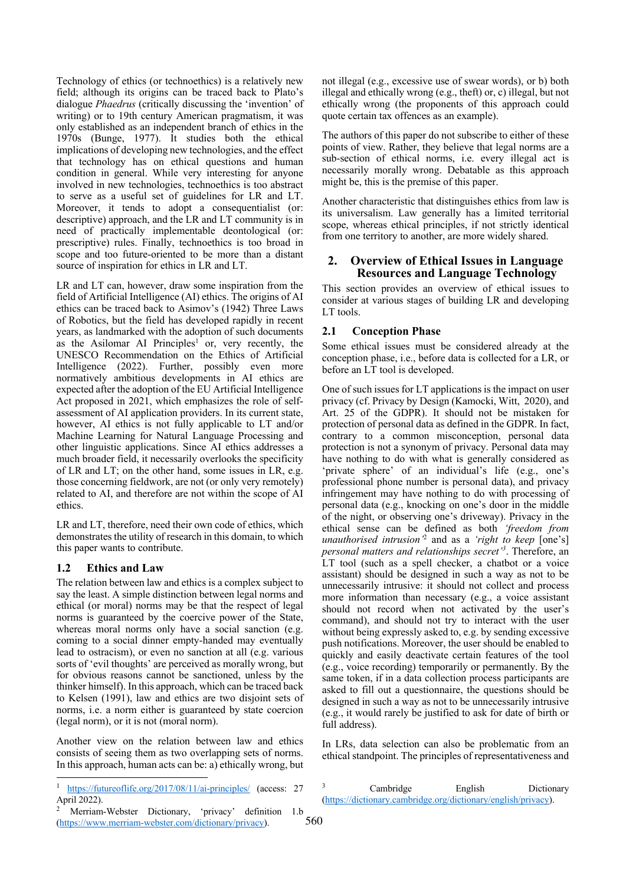Technology of ethics (or technoethics) is a relatively new field; although its origins can be traced back to Plato's dialogue *Phaedrus* (critically discussing the 'invention' of writing) or to 19th century American pragmatism, it was only established as an independent branch of ethics in the 1970s (Bunge, 1977). It studies both the ethical implications of developing new technologies, and the effect that technology has on ethical questions and human condition in general. While very interesting for anyone involved in new technologies, technoethics is too abstract to serve as a useful set of guidelines for LR and LT. Moreover, it tends to adopt a consequentialist (or: descriptive) approach, and the LR and LT community is in need of practically implementable deontological (or: prescriptive) rules. Finally, technoethics is too broad in scope and too future-oriented to be more than a distant source of inspiration for ethics in LR and LT.

LR and LT can, however, draw some inspiration from the field of Artificial Intelligence (AI) ethics. The origins of AI ethics can be traced back to Asimov's (1942) Three Laws of Robotics, but the field has developed rapidly in recent years, as landmarked with the adoption of such documents as the Asilomar AI Principles<sup>1</sup> or, very recently, the UNESCO Recommendation on the Ethics of Artificial Intelligence (2022). Further, possibly even more normatively ambitious developments in AI ethics are expected after the adoption of the EU Artificial Intelligence Act proposed in 2021, which emphasizes the role of selfassessment of AI application providers. In its current state, however, AI ethics is not fully applicable to LT and/or Machine Learning for Natural Language Processing and other linguistic applications. Since AI ethics addresses a much broader field, it necessarily overlooks the specificity of LR and LT; on the other hand, some issues in LR, e.g. those concerning fieldwork, are not (or only very remotely) related to AI, and therefore are not within the scope of AI ethics.

LR and LT, therefore, need their own code of ethics, which demonstrates the utility of research in this domain, to which this paper wants to contribute.

#### **1.2 Ethics and Law**

The relation between law and ethics is a complex subject to say the least. A simple distinction between legal norms and ethical (or moral) norms may be that the respect of legal norms is guaranteed by the coercive power of the State, whereas moral norms only have a social sanction (e.g. coming to a social dinner empty-handed may eventually lead to ostracism), or even no sanction at all (e.g. various sorts of 'evil thoughts' are perceived as morally wrong, but for obvious reasons cannot be sanctioned, unless by the thinker himself). In this approach, which can be traced back to Kelsen (1991), law and ethics are two disjoint sets of norms, i.e. a norm either is guaranteed by state coercion (legal norm), or it is not (moral norm).

Another view on the relation between law and ethics consists of seeing them as two overlapping sets of norms. In this approach, human acts can be: a) ethically wrong, but not illegal (e.g., excessive use of swear words), or b) both illegal and ethically wrong (e.g., theft) or, c) illegal, but not ethically wrong (the proponents of this approach could quote certain tax offences as an example).

The authors of this paper do not subscribe to either of these points of view. Rather, they believe that legal norms are a sub-section of ethical norms, i.e. every illegal act is necessarily morally wrong. Debatable as this approach might be, this is the premise of this paper.

Another characteristic that distinguishes ethics from law is its universalism. Law generally has a limited territorial scope, whereas ethical principles, if not strictly identical from one territory to another, are more widely shared.

#### **2. Overview of Ethical Issues in Language Resources and Language Technology**

This section provides an overview of ethical issues to consider at various stages of building LR and developing LT tools.

## **2.1 Conception Phase**

Some ethical issues must be considered already at the conception phase, i.e., before data is collected for a LR, or before an LT tool is developed.

One of such issues for LT applications is the impact on user privacy (cf. Privacy by Design (Kamocki, Witt, 2020), and Art. 25 of the GDPR). It should not be mistaken for protection of personal data as defined in the GDPR. In fact, contrary to a common misconception, personal data protection is not a synonym of privacy. Personal data may have nothing to do with what is generally considered as 'private sphere' of an individual's life (e.g., one's professional phone number is personal data), and privacy infringement may have nothing to do with processing of personal data (e.g., knocking on one's door in the middle of the night, or observing one's driveway). Privacy in the ethical sense can be defined as both *'freedom from unauthorised intrusion'*<sup>2</sup> and as a *'right to keep* [one's] *personal matters and relationships secret'3* . Therefore, an LT tool (such as a spell checker, a chatbot or a voice assistant) should be designed in such a way as not to be unnecessarily intrusive: it should not collect and process more information than necessary (e.g., a voice assistant should not record when not activated by the user's command), and should not try to interact with the user without being expressly asked to, e.g. by sending excessive push notifications. Moreover, the user should be enabled to quickly and easily deactivate certain features of the tool (e.g., voice recording) temporarily or permanently. By the same token, if in a data collection process participants are asked to fill out a questionnaire, the questions should be designed in such a way as not to be unnecessarily intrusive (e.g., it would rarely be justified to ask for date of birth or full address).

In LRs, data selection can also be problematic from an ethical standpoint. The principles of representativeness and

Cambridge English Dictionary (https://dictionary.cambridge.org/dictionary/english/privacy).

https://futureoflife.org/2017/08/11/ai-principles/ (access: 27 April 2022).

Merriam-Webster Dictionary, 'privacy' definition 1.b (https://www.merriam-webster.com/dictionary/privacy).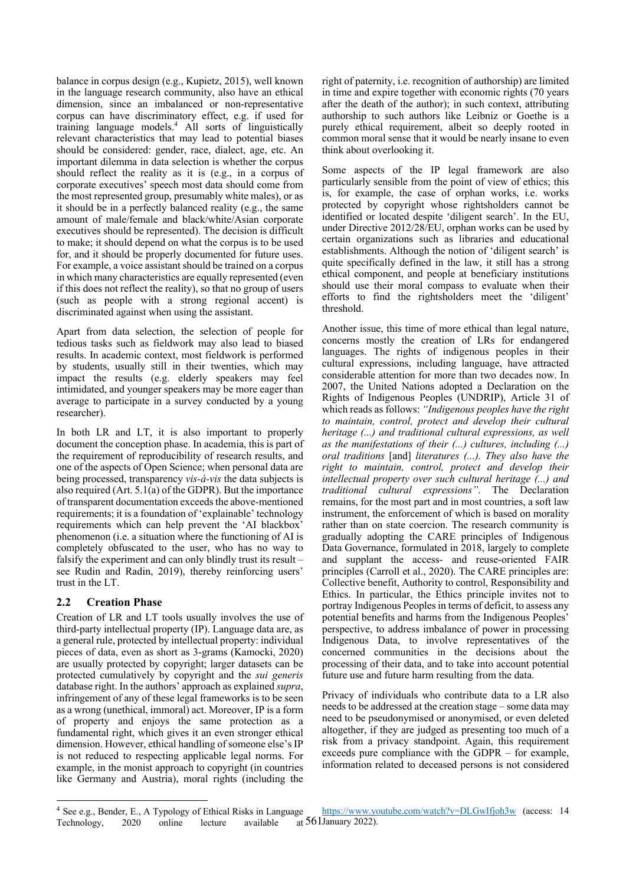balance in corpus design (e.g., Kupietz, 2015), well known in the language research community, also have an ethical dimension, since an imbalanced or non-representative corpus can have discriminatory effect, e.g. if used for training language models.4 All sorts of linguistically relevant characteristics that may lead to potential biases should be considered: gender, race, dialect, age, etc. An important dilemma in data selection is whether the corpus should reflect the reality as it is (e.g., in a corpus of corporate executives' speech most data should come from the most represented group, presumably white males), or as it should be in a perfectly balanced reality (e.g., the same amount of male/female and black/white/Asian corporate executives should be represented). The decision is difficult to make; it should depend on what the corpus is to be used for, and it should be properly documented for future uses. For example, a voice assistant should be trained on a corpus in which many characteristics are equally represented (even if this does not reflect the reality), so that no group of users (such as people with a strong regional accent) is discriminated against when using the assistant.

Apart from data selection, the selection of people for tedious tasks such as fieldwork may also lead to biased results. In academic context, most fieldwork is performed by students, usually still in their twenties, which may impact the results (e.g. elderly speakers may feel intimidated, and younger speakers may be more eager than average to participate in a survey conducted by a young researcher).

In both LR and LT, it is also important to properly document the conception phase. In academia, this is part of the requirement of reproducibility of research results, and one of the aspects of Open Science; when personal data are being processed, transparency *vis-à-vis* the data subjects is also required (Art. 5.1(a) of the GDPR). But the importance of transparent documentation exceeds the above-mentioned requirements; it is a foundation of 'explainable' technology requirements which can help prevent the 'AI blackbox' phenomenon (i.e. a situation where the functioning of AI is completely obfuscated to the user, who has no way to falsify the experiment and can only blindly trust its result – see Rudin and Radin, 2019), thereby reinforcing users' trust in the LT.

## **2.2 Creation Phase**

Creation of LR and LT tools usually involves the use of third-party intellectual property (IP). Language data are, as a general rule, protected by intellectual property: individual pieces of data, even as short as 3-grams (Kamocki, 2020) are usually protected by copyright; larger datasets can be protected cumulatively by copyright and the *sui generis* database right. In the authors' approach as explained *supra*, infringement of any of these legal frameworks is to be seen as a wrong (unethical, immoral) act. Moreover, IP is a form of property and enjoys the same protection as a fundamental right, which gives it an even stronger ethical dimension. However, ethical handling of someone else's IP is not reduced to respecting applicable legal norms. For example, in the monist approach to copyright (in countries like Germany and Austria), moral rights (including the right of paternity, i.e. recognition of authorship) are limited in time and expire together with economic rights (70 years after the death of the author); in such context, attributing authorship to such authors like Leibniz or Goethe is a purely ethical requirement, albeit so deeply rooted in common moral sense that it would be nearly insane to even think about overlooking it.

Some aspects of the IP legal framework are also particularly sensible from the point of view of ethics; this is, for example, the case of orphan works, i.e. works protected by copyright whose rightsholders cannot be identified or located despite 'diligent search'. In the EU, under Directive 2012/28/EU, orphan works can be used by certain organizations such as libraries and educational establishments. Although the notion of 'diligent search' is quite specifically defined in the law, it still has a strong ethical component, and people at beneficiary institutions should use their moral compass to evaluate when their efforts to find the rightsholders meet the 'diligent' threshold.

Another issue, this time of more ethical than legal nature, concerns mostly the creation of LRs for endangered languages. The rights of indigenous peoples in their cultural expressions, including language, have attracted considerable attention for more than two decades now. In 2007, the United Nations adopted a Declaration on the Rights of Indigenous Peoples (UNDRIP), Article 31 of which reads as follows: *"Indigenous peoples have the right to maintain, control, protect and develop their cultural heritage (...) and traditional cultural expressions, as well as the manifestations of their (...) cultures, including (...) oral traditions* [and] *literatures (...). They also have the right to maintain, control, protect and develop their intellectual property over such cultural heritage (...) and traditional cultural expressions"*. The Declaration remains, for the most part and in most countries, a soft law instrument, the enforcement of which is based on morality rather than on state coercion. The research community is gradually adopting the CARE principles of Indigenous Data Governance, formulated in 2018, largely to complete and supplant the access- and reuse-oriented FAIR principles (Carroll et al., 2020). The CARE principles are: Collective benefit, Authority to control, Responsibility and Ethics. In particular, the Ethics principle invites not to portray Indigenous Peoples in terms of deficit, to assess any potential benefits and harms from the Indigenous Peoples' perspective, to address imbalance of power in processing Indigenous Data, to involve representatives of the concerned communities in the decisions about the processing of their data, and to take into account potential future use and future harm resulting from the data.

Privacy of individuals who contribute data to a LR also needs to be addressed at the creation stage – some data may need to be pseudonymised or anonymised, or even deleted altogether, if they are judged as presenting too much of a risk from a privacy standpoint. Again, this requirement exceeds pure compliance with the GDPR – for example, information related to deceased persons is not considered

<sup>561</sup> January 2022).<sup>4</sup> See e.g., Bender, E., A Typology of Ethical Risks in Language Technology, 2020 online lecture available https://www.youtube.com/watch?v=DLGwIfjoh3w (access: 14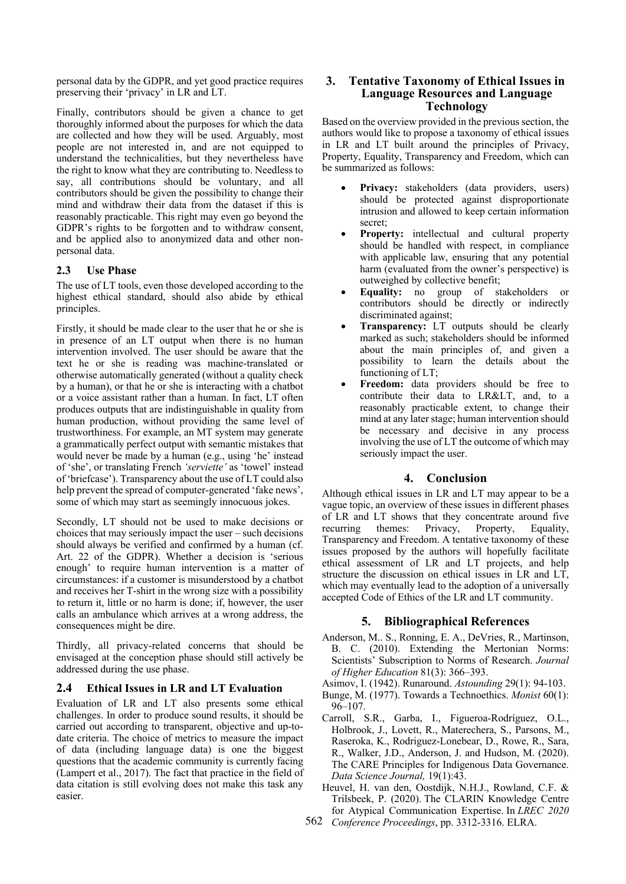personal data by the GDPR, and yet good practice requires preserving their 'privacy' in LR and LT.

Finally, contributors should be given a chance to get thoroughly informed about the purposes for which the data are collected and how they will be used. Arguably, most people are not interested in, and are not equipped to understand the technicalities, but they nevertheless have the right to know what they are contributing to. Needless to say, all contributions should be voluntary, and all contributors should be given the possibility to change their mind and withdraw their data from the dataset if this is reasonably practicable. This right may even go beyond the GDPR's rights to be forgotten and to withdraw consent, and be applied also to anonymized data and other nonpersonal data.

#### **2.3 Use Phase**

The use of LT tools, even those developed according to the highest ethical standard, should also abide by ethical principles.

Firstly, it should be made clear to the user that he or she is in presence of an LT output when there is no human intervention involved. The user should be aware that the text he or she is reading was machine-translated or otherwise automatically generated (without a quality check by a human), or that he or she is interacting with a chatbot or a voice assistant rather than a human. In fact, LT often produces outputs that are indistinguishable in quality from human production, without providing the same level of trustworthiness. For example, an MT system may generate a grammatically perfect output with semantic mistakes that would never be made by a human (e.g., using 'he' instead of 'she', or translating French *'serviette'* as 'towel' instead of 'briefcase'). Transparency about the use of LT could also help prevent the spread of computer-generated 'fake news', some of which may start as seemingly innocuous jokes.

Secondly, LT should not be used to make decisions or choices that may seriously impact the user – such decisions should always be verified and confirmed by a human (cf. Art. 22 of the GDPR). Whether a decision is 'serious enough' to require human intervention is a matter of circumstances: if a customer is misunderstood by a chatbot and receives her T-shirt in the wrong size with a possibility to return it, little or no harm is done; if, however, the user calls an ambulance which arrives at a wrong address, the consequences might be dire.

Thirdly, all privacy-related concerns that should be envisaged at the conception phase should still actively be addressed during the use phase.

## **2.4 Ethical Issues in LR and LT Evaluation**

Evaluation of LR and LT also presents some ethical challenges. In order to produce sound results, it should be carried out according to transparent, objective and up-todate criteria. The choice of metrics to measure the impact of data (including language data) is one the biggest questions that the academic community is currently facing (Lampert et al., 2017). The fact that practice in the field of data citation is still evolving does not make this task any easier.

# **3. Tentative Taxonomy of Ethical Issues in Language Resources and Language Technology**

Based on the overview provided in the previous section, the authors would like to propose a taxonomy of ethical issues in LR and LT built around the principles of Privacy, Property, Equality, Transparency and Freedom, which can be summarized as follows:

- Privacy: stakeholders (data providers, users) should be protected against disproportionate intrusion and allowed to keep certain information secret;
- **Property:** intellectual and cultural property should be handled with respect, in compliance with applicable law, ensuring that any potential harm (evaluated from the owner's perspective) is outweighed by collective benefit;
- **Equality:** no group of stakeholders or contributors should be directly or indirectly discriminated against;
- **Transparency:** LT outputs should be clearly marked as such; stakeholders should be informed about the main principles of, and given a possibility to learn the details about the functioning of LT;
- **Freedom:** data providers should be free to contribute their data to LR&LT, and, to a reasonably practicable extent, to change their mind at any later stage; human intervention should be necessary and decisive in any process involving the use of LT the outcome of which may seriously impact the user.

## **4. Conclusion**

Although ethical issues in LR and LT may appear to be a vague topic, an overview of these issues in different phases of LR and LT shows that they concentrate around five<br>recurring themes: Privacy, Property, Equality, themes: Privacy, Property, Equality, Transparency and Freedom. A tentative taxonomy of these issues proposed by the authors will hopefully facilitate ethical assessment of LR and LT projects, and help structure the discussion on ethical issues in LR and LT, which may eventually lead to the adoption of a universally accepted Code of Ethics of the LR and LT community.

## **5. Bibliographical References**

- Anderson, M.. S., Ronning, E. A., DeVries, R., Martinson, B. C. (2010). Extending the Mertonian Norms: Scientists' Subscription to Norms of Research. *Journal of Higher Education* 81(3): 366–393.
- Asimov, I. (1942). Runaround. *Astounding* 29(1): 94-103.
- Bunge, M. (1977). Towards a Technoethics. *Monist* 60(1): 96–107.
- Carroll, S.R., Garba, I., Figueroa-Rodríguez, O.L., Holbrook, J., Lovett, R., Materechera, S., Parsons, M., Raseroka, K., Rodriguez-Lonebear, D., Rowe, R., Sara, R., Walker, J.D., Anderson, J. and Hudson, M. (2020). The CARE Principles for Indigenous Data Governance. *Data Science Journal,* 19(1):43.
- Heuvel, H. van den, Oostdijk, N.H.J., Rowland, C.F. & Trilsbeek, P. (2020). The CLARIN Knowledge Centre for Atypical Communication Expertise. In *LREC 2020*
- 562 *Conference Proceedings*, pp. 3312-3316. ELRA.